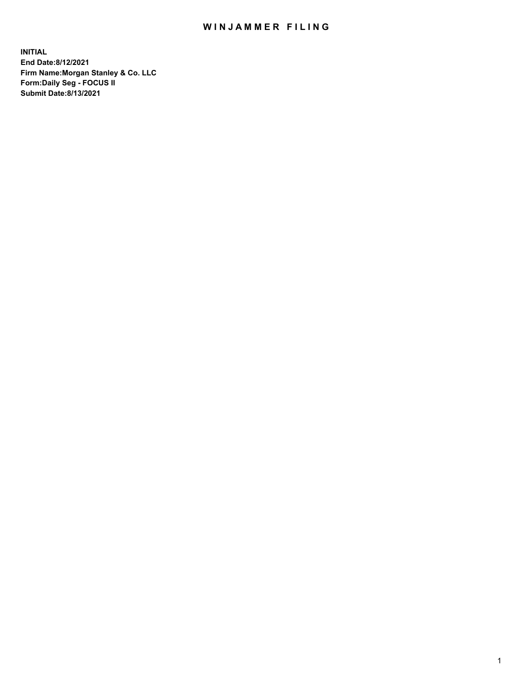## WIN JAMMER FILING

**INITIAL End Date:8/12/2021 Firm Name:Morgan Stanley & Co. LLC Form:Daily Seg - FOCUS II Submit Date:8/13/2021**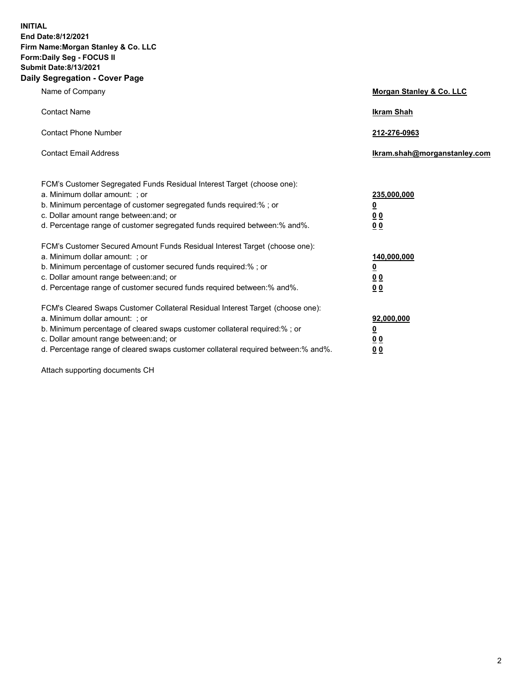**INITIAL End Date:8/12/2021 Firm Name:Morgan Stanley & Co. LLC Form:Daily Seg - FOCUS II Submit Date:8/13/2021 Daily Segregation - Cover Page**

| Name of Company                                                                                                                                                                                                                                                                                                                | <b>Morgan Stanley &amp; Co. LLC</b>                    |
|--------------------------------------------------------------------------------------------------------------------------------------------------------------------------------------------------------------------------------------------------------------------------------------------------------------------------------|--------------------------------------------------------|
| <b>Contact Name</b>                                                                                                                                                                                                                                                                                                            | <b>Ikram Shah</b>                                      |
| <b>Contact Phone Number</b>                                                                                                                                                                                                                                                                                                    | 212-276-0963                                           |
| <b>Contact Email Address</b>                                                                                                                                                                                                                                                                                                   | Ikram.shah@morganstanley.com                           |
| FCM's Customer Segregated Funds Residual Interest Target (choose one):<br>a. Minimum dollar amount: ; or<br>b. Minimum percentage of customer segregated funds required:% ; or<br>c. Dollar amount range between: and; or<br>d. Percentage range of customer segregated funds required between:% and%.                         | 235,000,000<br><u>0</u><br>0 Q<br>0 Q                  |
| FCM's Customer Secured Amount Funds Residual Interest Target (choose one):<br>a. Minimum dollar amount: ; or<br>b. Minimum percentage of customer secured funds required:% ; or<br>c. Dollar amount range between: and; or<br>d. Percentage range of customer secured funds required between: % and %.                         | 140,000,000<br><u>0</u><br><u>00</u><br>0 <sub>0</sub> |
| FCM's Cleared Swaps Customer Collateral Residual Interest Target (choose one):<br>a. Minimum dollar amount: ; or<br>b. Minimum percentage of cleared swaps customer collateral required:% ; or<br>c. Dollar amount range between: and; or<br>d. Percentage range of cleared swaps customer collateral required between:% and%. | 92,000,000<br><u>0</u><br>0 Q<br>00                    |

Attach supporting documents CH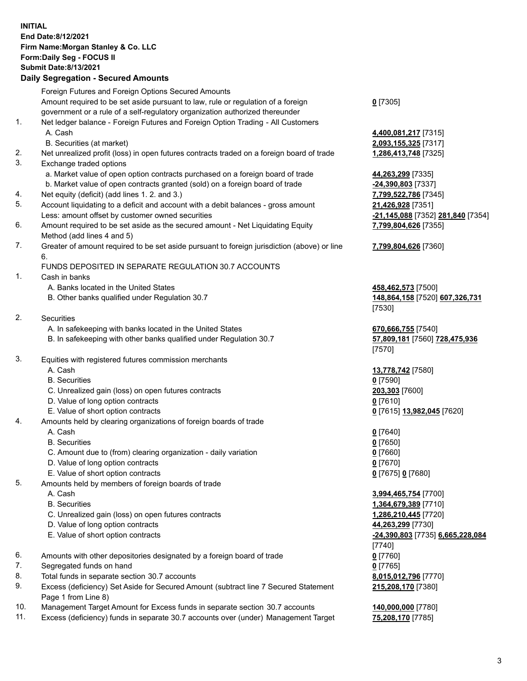## **INITIAL End Date:8/12/2021 Firm Name:Morgan Stanley & Co. LLC Form:Daily Seg - FOCUS II Submit Date:8/13/2021**

## **Daily Segregation - Secured Amounts**

|    | Foreign Futures and Foreign Options Secured Amounts                                               |                                         |
|----|---------------------------------------------------------------------------------------------------|-----------------------------------------|
|    | Amount required to be set aside pursuant to law, rule or regulation of a foreign                  | $0$ [7305]                              |
|    | government or a rule of a self-regulatory organization authorized thereunder                      |                                         |
| 1. | Net ledger balance - Foreign Futures and Foreign Option Trading - All Customers                   |                                         |
|    | A. Cash                                                                                           | 4,400,081,217 [7315]                    |
|    | B. Securities (at market)                                                                         | 2,093,155,325 [7317]                    |
| 2. | Net unrealized profit (loss) in open futures contracts traded on a foreign board of trade         | 1,286,413,748 [7325]                    |
| 3. | Exchange traded options                                                                           |                                         |
|    | a. Market value of open option contracts purchased on a foreign board of trade                    | 44,263,299 [7335]                       |
|    | b. Market value of open contracts granted (sold) on a foreign board of trade                      | -24,390,803 [7337]                      |
| 4. | Net equity (deficit) (add lines 1. 2. and 3.)                                                     | 7,799,522,786 [7345]                    |
| 5. | Account liquidating to a deficit and account with a debit balances - gross amount                 | 21,426,928 [7351]                       |
|    | Less: amount offset by customer owned securities                                                  | -21,145,088 [7352] 281,840 [7354]       |
| 6. | Amount required to be set aside as the secured amount - Net Liquidating Equity                    | 7,799,804,626 [7355]                    |
|    | Method (add lines 4 and 5)                                                                        |                                         |
| 7. | Greater of amount required to be set aside pursuant to foreign jurisdiction (above) or line<br>6. | 7,799,804,626 [7360]                    |
|    | FUNDS DEPOSITED IN SEPARATE REGULATION 30.7 ACCOUNTS                                              |                                         |
| 1. | Cash in banks                                                                                     |                                         |
|    | A. Banks located in the United States                                                             | 458,462,573 [7500]                      |
|    | B. Other banks qualified under Regulation 30.7                                                    | 148,864,158 [7520] 607,326,731          |
|    |                                                                                                   | [7530]                                  |
| 2. | <b>Securities</b>                                                                                 |                                         |
|    | A. In safekeeping with banks located in the United States                                         | 670,666,755 [7540]                      |
|    | B. In safekeeping with other banks qualified under Regulation 30.7                                | 57,809,181 [7560] 728,475,936<br>[7570] |
| 3. | Equities with registered futures commission merchants                                             |                                         |
|    | A. Cash                                                                                           | 13,778,742 [7580]                       |
|    | <b>B.</b> Securities                                                                              | $0$ [7590]                              |
|    | C. Unrealized gain (loss) on open futures contracts                                               | 203,303 [7600]                          |
|    | D. Value of long option contracts                                                                 | $0$ [7610]                              |
|    | E. Value of short option contracts                                                                | 0 [7615] 13,982,045 [7620]              |
| 4. | Amounts held by clearing organizations of foreign boards of trade                                 |                                         |
|    | A. Cash                                                                                           | $0$ [7640]                              |
|    | <b>B.</b> Securities                                                                              | $0$ [7650]                              |
|    | C. Amount due to (from) clearing organization - daily variation                                   | $0$ [7660]                              |
|    | D. Value of long option contracts                                                                 | $0$ [7670]                              |
|    | E. Value of short option contracts                                                                | 0 [7675] 0 [7680]                       |
| 5. | Amounts held by members of foreign boards of trade                                                |                                         |
|    | A. Cash                                                                                           | 3,994,465,754 [7700]                    |
|    | <b>B.</b> Securities                                                                              | 1,364,679,389 [7710]                    |
|    | C. Unrealized gain (loss) on open futures contracts                                               | 1,286,210,445 [7720]                    |
|    | D. Value of long option contracts                                                                 | 44,263,299 [7730]                       |
|    | E. Value of short option contracts                                                                | -24,390,803 [7735] 6,665,228,084        |
|    |                                                                                                   | [7740]                                  |
| 6. | Amounts with other depositories designated by a foreign board of trade                            | $0$ [7760]                              |
| 7. | Segregated funds on hand                                                                          | $0$ [7765]                              |
| 8. | Total funds in separate section 30.7 accounts                                                     | 8,015,012,796 [7770]                    |
| 9. | Excess (deficiency) Set Aside for Secured Amount (subtract line 7 Secured Statement               | 215,208,170 [7380]                      |
|    | Page 1 from Line 8)                                                                               |                                         |

- 10. Management Target Amount for Excess funds in separate section 30.7 accounts **140,000,000** [7780]
- 11. Excess (deficiency) funds in separate 30.7 accounts over (under) Management Target **75,208,170** [7785]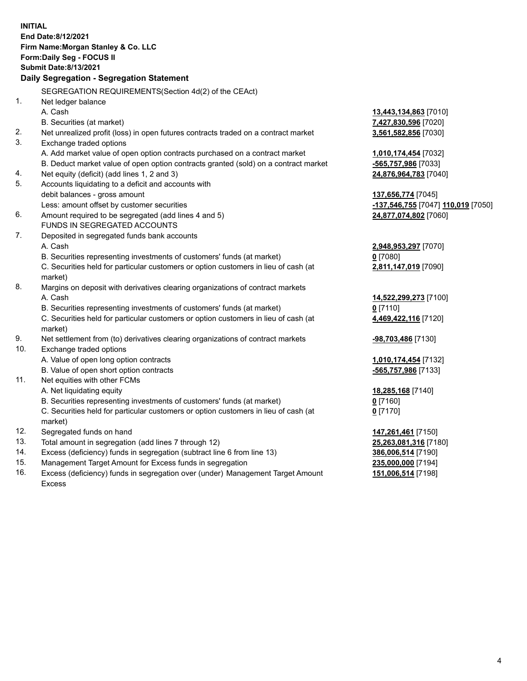**INITIAL End Date:8/12/2021 Firm Name:Morgan Stanley & Co. LLC Form:Daily Seg - FOCUS II Submit Date:8/13/2021 Daily Segregation - Segregation Statement** SEGREGATION REQUIREMENTS(Section 4d(2) of the CEAct) 1. Net ledger balance A. Cash **13,443,134,863** [7010] B. Securities (at market) **7,427,830,596** [7020] 2. Net unrealized profit (loss) in open futures contracts traded on a contract market **3,561,582,856** [7030] 3. Exchange traded options A. Add market value of open option contracts purchased on a contract market **1,010,174,454** [7032] B. Deduct market value of open option contracts granted (sold) on a contract market **-565,757,986** [7033] 4. Net equity (deficit) (add lines 1, 2 and 3) **24,876,964,783** [7040] 5. Accounts liquidating to a deficit and accounts with debit balances - gross amount **137,656,774** [7045] Less: amount offset by customer securities **-137,546,755** [7047] **110,019** [7050] 6. Amount required to be segregated (add lines 4 and 5) **24,877,074,802** [7060] FUNDS IN SEGREGATED ACCOUNTS 7. Deposited in segregated funds bank accounts A. Cash **2,948,953,297** [7070] B. Securities representing investments of customers' funds (at market) **0** [7080] C. Securities held for particular customers or option customers in lieu of cash (at market) **2,811,147,019** [7090] 8. Margins on deposit with derivatives clearing organizations of contract markets A. Cash **14,522,299,273** [7100] B. Securities representing investments of customers' funds (at market) **0** [7110] C. Securities held for particular customers or option customers in lieu of cash (at market) **4,469,422,116** [7120] 9. Net settlement from (to) derivatives clearing organizations of contract markets **-98,703,486** [7130] 10. Exchange traded options A. Value of open long option contracts **1,010,174,454** [7132] B. Value of open short option contracts **-565,757,986** [7133] 11. Net equities with other FCMs A. Net liquidating equity **18,285,168** [7140] B. Securities representing investments of customers' funds (at market) **0** [7160] C. Securities held for particular customers or option customers in lieu of cash (at market) **0** [7170] 12. Segregated funds on hand **147,261,461** [7150] 13. Total amount in segregation (add lines 7 through 12) **25,263,081,316** [7180] 14. Excess (deficiency) funds in segregation (subtract line 6 from line 13) **386,006,514** [7190] 15. Management Target Amount for Excess funds in segregation **235,000,000** [7194]

16. Excess (deficiency) funds in segregation over (under) Management Target Amount Excess

**151,006,514** [7198]